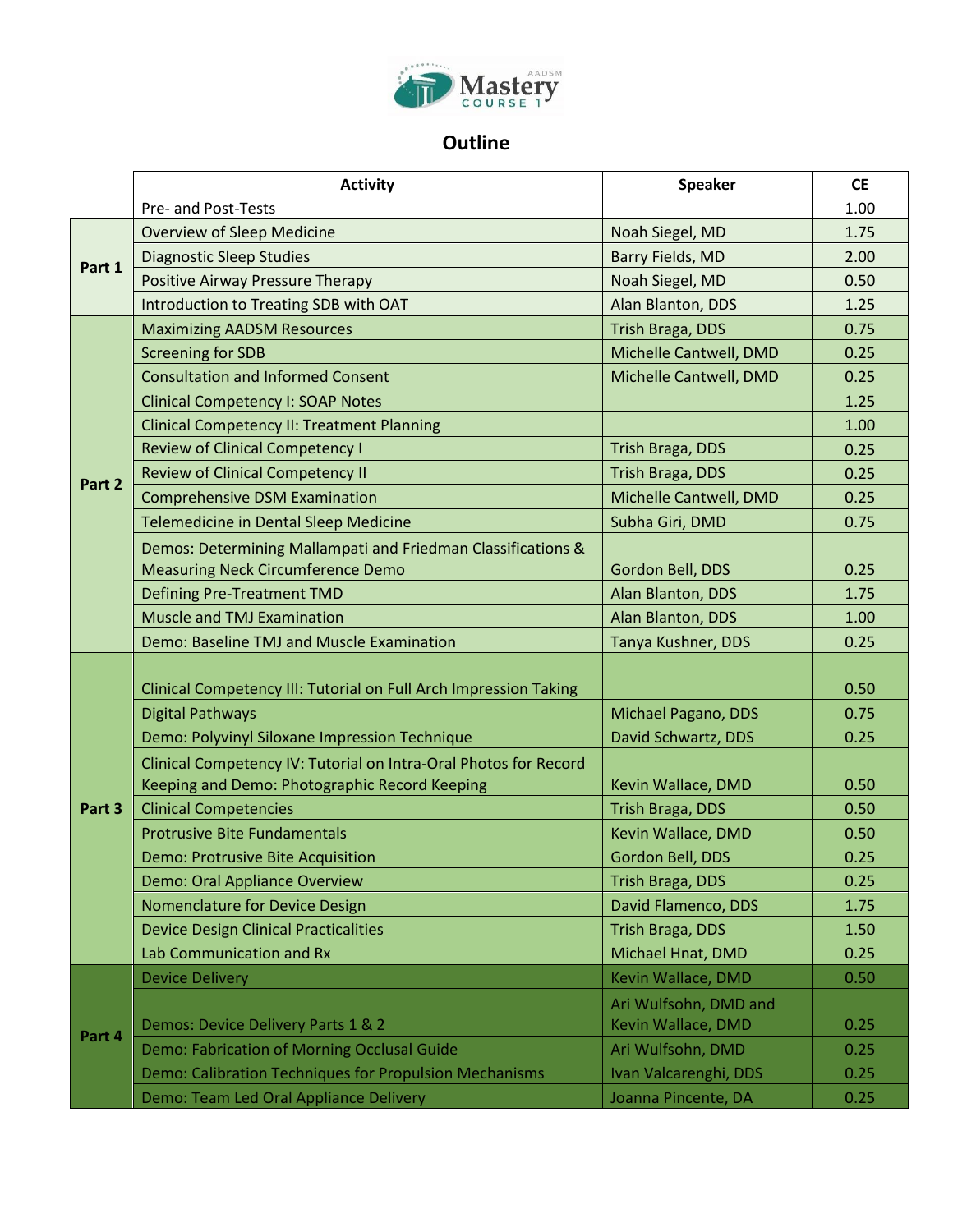

## **Outline**

|        | <b>Activity</b>                                                  | <b>Speaker</b>          | <b>CE</b> |
|--------|------------------------------------------------------------------|-------------------------|-----------|
|        | Pre- and Post-Tests                                              |                         | 1.00      |
| Part 1 | <b>Overview of Sleep Medicine</b>                                | Noah Siegel, MD         | 1.75      |
|        | <b>Diagnostic Sleep Studies</b>                                  | <b>Barry Fields, MD</b> | 2.00      |
|        | Positive Airway Pressure Therapy                                 | Noah Siegel, MD         | 0.50      |
|        | Introduction to Treating SDB with OAT                            | Alan Blanton, DDS       | 1.25      |
| Part 2 | <b>Maximizing AADSM Resources</b>                                | Trish Braga, DDS        | 0.75      |
|        | <b>Screening for SDB</b>                                         | Michelle Cantwell, DMD  | 0.25      |
|        | <b>Consultation and Informed Consent</b>                         | Michelle Cantwell, DMD  | 0.25      |
|        | <b>Clinical Competency I: SOAP Notes</b>                         |                         | 1.25      |
|        | <b>Clinical Competency II: Treatment Planning</b>                |                         | 1.00      |
|        | <b>Review of Clinical Competency I</b>                           | Trish Braga, DDS        | 0.25      |
|        | <b>Review of Clinical Competency II</b>                          | <b>Trish Braga, DDS</b> | 0.25      |
|        | <b>Comprehensive DSM Examination</b>                             | Michelle Cantwell, DMD  | 0.25      |
|        | Telemedicine in Dental Sleep Medicine                            | Subha Giri, DMD         | 0.75      |
|        | Demos: Determining Mallampati and Friedman Classifications &     |                         |           |
|        | <b>Measuring Neck Circumference Demo</b>                         | Gordon Bell, DDS        | 0.25      |
|        | <b>Defining Pre-Treatment TMD</b>                                | Alan Blanton, DDS       | 1.75      |
|        | <b>Muscle and TMJ Examination</b>                                | Alan Blanton, DDS       | 1.00      |
|        | Demo: Baseline TMJ and Muscle Examination                        | Tanya Kushner, DDS      | 0.25      |
| Part 3 |                                                                  |                         |           |
|        | Clinical Competency III: Tutorial on Full Arch Impression Taking |                         | 0.50      |
|        | <b>Digital Pathways</b>                                          | Michael Pagano, DDS     | 0.75      |
|        | Demo: Polyvinyl Siloxane Impression Technique                    | David Schwartz, DDS     | 0.25      |
|        | Clinical Competency IV: Tutorial on Intra-Oral Photos for Record |                         |           |
|        | Keeping and Demo: Photographic Record Keeping                    | Kevin Wallace, DMD      | 0.50      |
|        | <b>Clinical Competencies</b>                                     | <b>Trish Braga, DDS</b> | 0.50      |
|        | <b>Protrusive Bite Fundamentals</b>                              | Kevin Wallace, DMD      | 0.50      |
|        | <b>Demo: Protrusive Bite Acquisition</b>                         | Gordon Bell, DDS        | 0.25      |
|        | Demo: Oral Appliance Overview                                    | <b>Trish Braga, DDS</b> | 0.25      |
|        | Nomenclature for Device Design                                   | David Flamenco, DDS     | 1.75      |
|        | <b>Device Design Clinical Practicalities</b>                     | Trish Braga, DDS        | 1.50      |
|        | Lab Communication and Rx                                         | Michael Hnat, DMD       | 0.25      |
| Part 4 | <b>Device Delivery</b>                                           | Kevin Wallace, DMD      | 0.50      |
|        |                                                                  | Ari Wulfsohn, DMD and   |           |
|        | Demos: Device Delivery Parts 1 & 2                               | Kevin Wallace, DMD      | 0.25      |
|        | Demo: Fabrication of Morning Occlusal Guide                      | Ari Wulfsohn, DMD       | 0.25      |
|        | Demo: Calibration Techniques for Propulsion Mechanisms           | Ivan Valcarenghi, DDS   | 0.25      |
|        | Demo: Team Led Oral Appliance Delivery                           | Joanna Pincente, DA     | 0.25      |